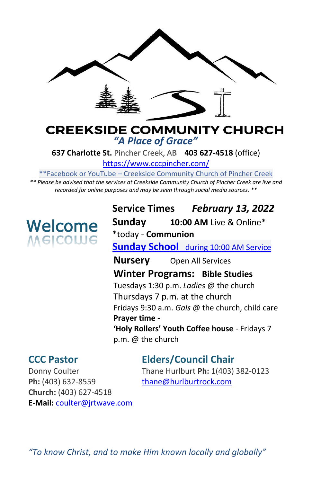

# **CREEKSIDE COMMUNITY CHURCH** *"A Place of Grace"*

**637 Charlotte St.** Pincher Creek, AB **403 627-4518** (office)

<https://www.cccpincher.com/>

\*\*Facebook or YouTube – Creekside Community Church of Pincher Creek

*\*\* Please be advised that the services at Creekside Community Church of Pincher Creek are live and recorded for online purposes and may be seen through social media sources. \*\**

# **Welcome**<br>Melcolue

**Service Times** *February 13, 2022* **Sunday 10:00 AM** Live & Online\* \*today - **Communion Sunday School** during 10:00 AM Service **Nursery** Open All Services **Winter Programs: Bible Studies** Tuesdays 1:30 p.m. *Ladies* @ the church Thursdays 7 p.m. at the church Fridays 9:30 a.m. *Gals* @ the church, child care **Prayer time - 'Holy Rollers' Youth Coffee house** - Fridays 7 p.m. @ the church

Ph: (403) 632-8559 [thane@hurlburtrock.com](mailto:thane@hurlburtrock.com) **Church:** (403) 627-4518 **E-Mail:** [coulter@jrtwave.com](mailto:coulter@jrtwave.com)

# **CCC Pastor Elders/Council Chair**

Donny Coulter Thane Hurlburt **Ph:** 1(403) 382-0123

*"To know Christ, and to make Him known locally and globally"*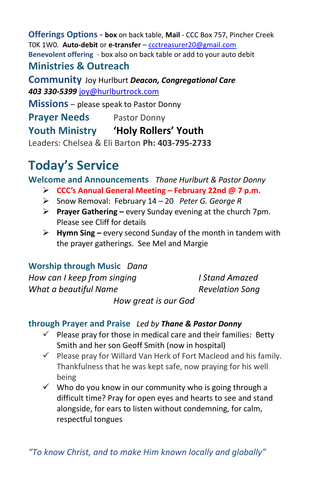**Offerings Options - box** on back table, **Mail** - CCC Box 757, Pincher Creek T0K 1W0. **Auto-debit** or **e-transfer** – [ccctreasurer20@gmail.com](mailto:ccctreasurer20@gmail.com) **Benevolent offering** - box also on back table or add to your auto debit **Ministries & Outreach** 

**Community** Joy Hurlburt *Deacon, Congregational Care 403 330-5399* [joy@hurlburtrock.com](mailto:joy@hurlburtrock.com)

**Missions** – please speak to Pastor Donny

**Prayer Needs** Pastor Donny

**Youth Ministry 'Holy Rollers' Youth**

Leaders: Chelsea & Eli Barton **Ph: 403-795-2733**

# **Today's Service**

**Welcome and Announcements** *Thane Hurlburt & Pastor Donny*

- ➢ **CCC's Annual General Meeting – February 22nd @ 7 p.m.**
- ➢ Snow Removal: February 14 20 *Peter G. George R*
- ➢ **Prayer Gathering –** every Sunday evening at the church 7pm. Please see Cliff for details
- ➢ **Hymn Sing –** every second Sunday of the month in tandem with the prayer gatherings. See Mel and Margie

**Worship through Music** *Dana How can I keep from singing I Stand Amazed What a beautiful Name* Revelation Song *How great is our God*

## **through Prayer and Praise** *Led by Thane & Pastor Donny*

- $\checkmark$  Please pray for those in medical care and their families: Betty Smith and her son Geoff Smith (now in hospital)
- $\checkmark$  Please pray for Willard Van Herk of Fort Macleod and his family. Thankfulness that he was kept safe, now praying for his well being
- $\checkmark$  Who do you know in our community who is going through a difficult time? Pray for open eyes and hearts to see and stand alongside, for ears to listen without condemning, for calm, respectful tongues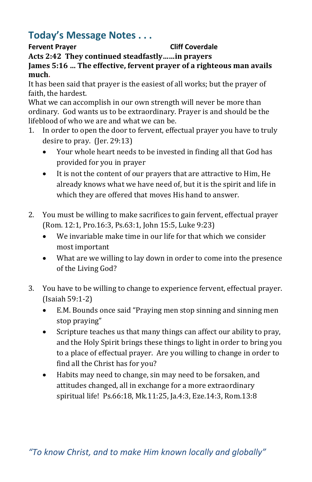# **Today's Message Notes . . .**

### **Fervent Prayer Cliff Coverdale**

**Acts 2:42 They continued steadfastly……in prayers**

**James 5:16 … The effective, fervent prayer of a righteous man avails much.**

It has been said that prayer is the easiest of all works; but the prayer of faith, the hardest.

What we can accomplish in our own strength will never be more than ordinary. God wants us to be extraordinary. Prayer is and should be the lifeblood of who we are and what we can be.

- 1. In order to open the door to fervent, effectual prayer you have to truly desire to pray. (Jer. 29:13)
	- Your whole heart needs to be invested in finding all that God has provided for you in prayer
	- It is not the content of our prayers that are attractive to Him, He already knows what we have need of, but it is the spirit and life in which they are offered that moves His hand to answer.
- 2. You must be willing to make sacrifices to gain fervent, effectual prayer (Rom. 12:1, Pro.16:3, Ps.63:1, John 15:5, Luke 9:23)
	- We invariable make time in our life for that which we consider most important
	- What are we willing to lay down in order to come into the presence of the Living God?
- 3. You have to be willing to change to experience fervent, effectual prayer. (Isaiah 59:1-2)
	- E.M. Bounds once said "Praying men stop sinning and sinning men stop praying"
	- Scripture teaches us that many things can affect our ability to pray, and the Holy Spirit brings these things to light in order to bring you to a place of effectual prayer. Are you willing to change in order to find all the Christ has for you?
	- Habits may need to change, sin may need to be forsaken, and attitudes changed, all in exchange for a more extraordinary spiritual life! Ps.66:18, Mk.11:25, Ja.4:3, Eze.14:3, Rom.13:8